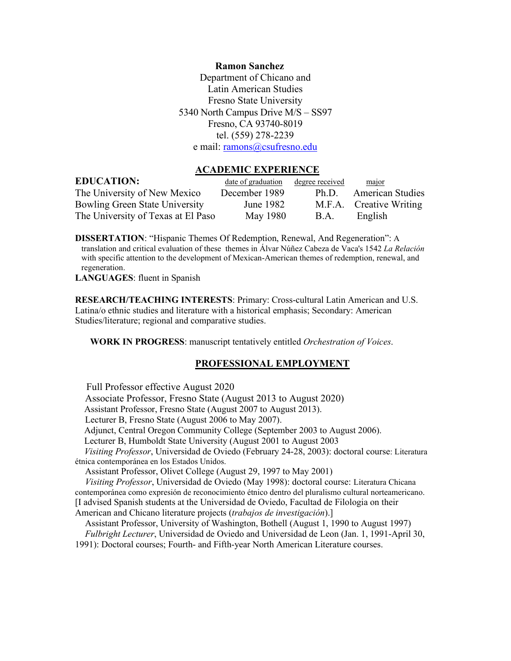### **Ramon Sanchez**

Department of Chicano and Latin American Studies Fresno State University 5340 North Campus Drive M/S – SS97 Fresno, CA 93740-8019 tel. (559) 278-2239 e mail: [ramons@csufresno.edu](mailto:ramons@csufresno.edu)

### **ACADEMIC EXPERIENCE**

| <b>EDUCATION:</b>                     | <u>date of graduation</u> | degree received | major                   |
|---------------------------------------|---------------------------|-----------------|-------------------------|
| The University of New Mexico          | December 1989             | Ph.D.           | <b>American Studies</b> |
| <b>Bowling Green State University</b> | June 1982                 |                 | M.F.A. Creative Writing |
| The University of Texas at El Paso    | May 1980                  | <b>B.A.</b>     | English                 |

**DISSERTATION**: "Hispanic Themes Of Redemption, Renewal, And Regeneration": A translation and critical evaluation of these themes in Álvar Núñez Cabeza de Vaca's 1542 *La Relación* with specific attention to the development of Mexican-American themes of redemption, renewal, and regeneration.

**LANGUAGES**: fluent in Spanish

**RESEARCH/TEACHING INTERESTS**: Primary: Cross-cultural Latin American and U.S. Latina/o ethnic studies and literature with a historical emphasis; Secondary: American Studies/literature; regional and comparative studies.

**WORK IN PROGRESS**: manuscript tentatively entitled *Orchestration of Voices*.

## **PROFESSIONAL EMPLOYMENT**

Full Professor effective August 2020

Associate Professor, Fresno State (August 2013 to August 2020)

Assistant Professor, Fresno State (August 2007 to August 2013).

Lecturer B, Fresno State (August 2006 to May 2007).

Adjunct, Central Oregon Community College (September 2003 to August 2006).

Lecturer B, Humboldt State University (August 2001 to August 2003

 *Visiting Professor*, Universidad de Oviedo (February 24-28, 2003): doctoral course: Literatura étnica contemporánea en los Estados Unidos.

Assistant Professor, Olivet College (August 29, 1997 to May 2001)

 *Visiting Professor*, Universidad de Oviedo (May 1998): doctoral course: Literatura Chicana contemporánea como expresión de reconocimiento étnico dentro del pluralismo cultural norteamericano.

[I advised Spanish students at the Universidad de Oviedo, Facultad de Filologia on their

American and Chicano literature projects (*trabajos de investigación*).]

 Assistant Professor, University of Washington, Bothell (August 1, 1990 to August 1997) *Fulbright Lecturer*, Universidad de Oviedo and Universidad de Leon (Jan. 1, 1991-April 30, 1991): Doctoral courses; Fourth- and Fifth-year North American Literature courses.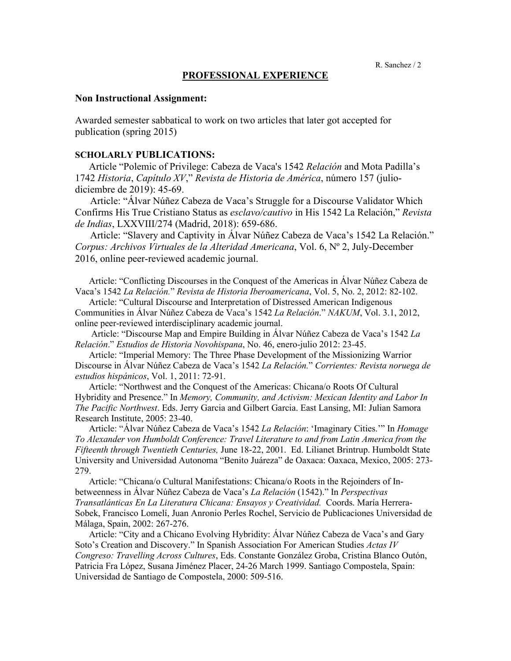## **PROFESSIONAL EXPERIENCE**

## **Non Instructional Assignment:**

Awarded semester sabbatical to work on two articles that later got accepted for publication (spring 2015)

### **SCHOLARLY PUBLICATIONS:**

 Article "Polemic of Privilege: Cabeza de Vaca's 1542 *Relación* and Mota Padilla's 1742 *Historia*, *Capítulo XV*," *Revista de Historia de América*, número 157 (juliodiciembre de 2019): 45-69.

 Article: "Álvar Núñez Cabeza de Vaca's Struggle for a Discourse Validator Which Confirms His True Cristiano Status as *esclavo/cautivo* in His 1542 La Relación," *Revista de Indias*, LXXVIII/274 (Madrid, 2018): 659-686.

 Article: "Slavery and Captivity in Álvar Núñez Cabeza de Vaca's 1542 La Relación." *Corpus: Archivos Virtuales de la Alteridad Americana*, Vol. 6, Nº 2, July-December 2016, online peer-reviewed academic journal.

 Article: "Conflicting Discourses in the Conquest of the Americas in Álvar Núñez Cabeza de Vaca's 1542 *La Relación.*" *Revista de Historia Iberoamericana*, Vol. 5, No. 2, 2012: 82-102.

 Article: "Cultural Discourse and Interpretation of Distressed American Indigenous Communities in Álvar Núñez Cabeza de Vaca's 1542 *La Relación*." *NAKUM*, Vol. 3.1, 2012, online peer-reviewed interdisciplinary academic journal.

 Article: "Discourse Map and Empire Building in Álvar Núñez Cabeza de Vaca's 1542 *La Relación*." *Estudios de Historia Novohispana*, No. 46, enero-julio 2012: 23-45.

Article: "Imperial Memory: The Three Phase Development of the Missionizing Warrior Discourse in Álvar Núñez Cabeza de Vaca's 1542 *La Relación.*" *Corrientes: Revista noruega de estudios hispánicos*, Vol. 1, 2011: 72-91.

 Article: "Northwest and the Conquest of the Americas: Chicana/o Roots Of Cultural Hybridity and Presence." In *Memory, Community, and Activism: Mexican Identity and Labor In The Pacific Northwest*. Eds. Jerry Garcia and Gilbert Garcia. East Lansing, MI: Julian Samora Research Institute, 2005: 23-40.

 Article: "Álvar Núñez Cabeza de Vaca's 1542 *La Relación*: 'Imaginary Cities.'" In *Homage To Alexander von Humboldt Conference: Travel Literature to and from Latin America from the Fifteenth through Twentieth Centuries,* June 18-22, 2001. Ed. Lilianet Brintrup. Humboldt State University and Universidad Autonoma "Benito Juáreza" de Oaxaca: Oaxaca, Mexico, 2005: 273- 279.

 Article: "Chicana/o Cultural Manifestations: Chicana/o Roots in the Rejoinders of Inbetweenness in Álvar Núñez Cabeza de Vaca's *La Relación* (1542)." In *Perspectivas Transatlánticas En La Literatura Chicana: Ensayos y Creatividad.* Coords. María Herrera-Sobek, Francisco Lomelí, Juan Anronio Perles Rochel, Servicio de Publicaciones Universidad de Málaga, Spain, 2002: 267-276.

 Article: "City and a Chicano Evolving Hybridity: Álvar Núñez Cabeza de Vaca's and Gary Soto's Creation and Discovery." In Spanish Association For American Studies *Actas IV Congreso: Travelling Across Cultures*, Eds. Constante González Groba, Cristina Blanco Outón, Patricia Fra López, Susana Jiménez Placer, 24-26 March 1999. Santiago Compostela, Spain: Universidad de Santiago de Compostela, 2000: 509-516.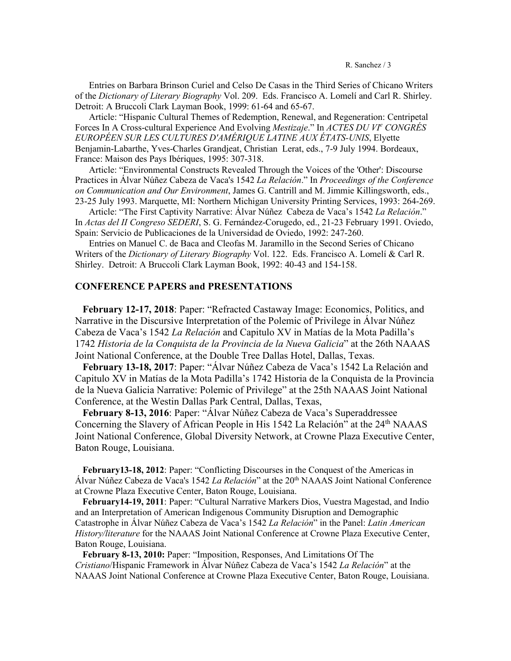Entries on Barbara Brinson Curiel and Celso De Casas in the Third Series of Chicano Writers of the *Dictionary of Literary Biography* Vol. 209. Eds. Francisco A. Lomelí and Carl R. Shirley. Detroit: A Bruccoli Clark Layman Book, 1999: 61-64 and 65-67.

 Article: "Hispanic Cultural Themes of Redemption, Renewal, and Regeneration: Centripetal Forces In A Cross-cultural Experience And Evolving *Mestizaje*." In *ACTES DU VI<sup>e</sup> CONGRÉS EUROPÉEN SUR LES CULTURES D'AMÉRIQUE LATINE AUX ÉTATS-UNIS*, Elyette Benjamin-Labarthe, Yves-Charles Grandjeat, Christian Lerat, eds., 7-9 July 1994. Bordeaux, France: Maison des Pays Ibériques, 1995: 307-318.

 Article: "Environmental Constructs Revealed Through the Voices of the 'Other': Discourse Practices in Álvar Núñez Cabeza de Vaca's 1542 *La Relación*." In *Proceedings of the Conference on Communication and Our Environment*, James G. Cantrill and M. Jimmie Killingsworth, eds., 23-25 July 1993. Marquette, MI: Northern Michigan University Printing Services, 1993: 264-269.

 Article: "The First Captivity Narrative: Álvar Núñez Cabeza de Vaca's 1542 *La Relación*." In *Actas del II Congreso SEDERI*, S. G. Fernández-Corugedo, ed., 21-23 February 1991. Oviedo, Spain: Servicio de Publicaciones de la Universidad de Oviedo, 1992: 247-260.

 Entries on Manuel C. de Baca and Cleofas M. Jaramillo in the Second Series of Chicano Writers of the *Dictionary of Literary Biography* Vol. 122. Eds. Francisco A. Lomelí & Carl R. Shirley. Detroit: A Bruccoli Clark Layman Book, 1992: 40-43 and 154-158.

## **CONFERENCE PAPERS and PRESENTATIONS**

 **February 12-17, 2018**: Paper: "Refracted Castaway Image: Economics, Politics, and Narrative in the Discursive Interpretation of the Polemic of Privilege in Álvar Núñez Cabeza de Vaca's 1542 *La Relación* and Capitulo XV in Matías de la Mota Padilla's 1742 *Historia de la Conquista de la Provincia de la Nueva Galicia*" at the 26th NAAAS Joint National Conference, at the Double Tree Dallas Hotel, Dallas, Texas.

 **February 13-18, 2017**: Paper: "Álvar Núñez Cabeza de Vaca's 1542 La Relación and Capitulo XV in Matías de la Mota Padilla's 1742 Historia de la Conquista de la Provincia de la Nueva Galicia Narrative: Polemic of Privilege" at the 25th NAAAS Joint National Conference, at the Westin Dallas Park Central, Dallas, Texas,

 **February 8-13, 2016**: Paper: "Álvar Núñez Cabeza de Vaca's Superaddressee Concerning the Slavery of African People in His 1542 La Relación" at the 24<sup>th</sup> NAAAS Joint National Conference, Global Diversity Network, at Crowne Plaza Executive Center, Baton Rouge, Louisiana.

**February13-18, 2012**: Paper: "Conflicting Discourses in the Conquest of the Americas in Álvar Núñez Cabeza de Vaca's 1542 *La Relación*" at the 20th NAAAS Joint National Conference at Crowne Plaza Executive Center, Baton Rouge, Louisiana.

**February14-19, 2011**: Paper: "Cultural Narrative Markers Dios, Vuestra Magestad, and Indio and an Interpretation of American Indigenous Community Disruption and Demographic Catastrophe in Álvar Núñez Cabeza de Vaca's 1542 *La Relación*" in the Panel: *Latin American History/literature* for the NAAAS Joint National Conference at Crowne Plaza Executive Center, Baton Rouge, Louisiana.

**February 8-13, 2010:** Paper: "Imposition, Responses, And Limitations Of The *Cristiano*/Hispanic Framework in Álvar Núñez Cabeza de Vaca's 1542 *La Relación*" at the NAAAS Joint National Conference at Crowne Plaza Executive Center, Baton Rouge, Louisiana.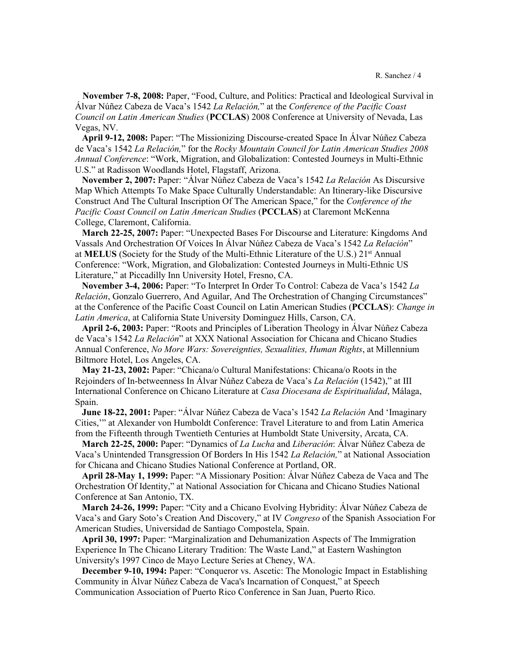**November 7-8, 2008:** Paper, "Food, Culture, and Politics: Practical and Ideological Survival in Álvar Núñez Cabeza de Vaca's 1542 *La Relación,*" at the *Conference of the Pacific Coast Council on Latin American Studies* (**PCCLAS**) 2008 Conference at University of Nevada, Las Vegas, NV.

 **April 9-12, 2008:** Paper: "The Missionizing Discourse-created Space In Álvar Núñez Cabeza de Vaca's 1542 *La Relación,*" for the *Rocky Mountain Council for Latin American Studies 2008 Annual Conference*: "Work, Migration, and Globalization: Contested Journeys in Multi-Ethnic U.S." at Radisson Woodlands Hotel, Flagstaff, Arizona.

 **November 2, 2007:** Paper: "Álvar Núñez Cabeza de Vaca's 1542 *La Relación* As Discursive Map Which Attempts To Make Space Culturally Understandable: An Itinerary-like Discursive Construct And The Cultural Inscription Of The American Space," for the *Conference of the Pacific Coast Council on Latin American Studies* (**PCCLAS**) at Claremont McKenna College, Claremont, California.

 **March 22-25, 2007:** Paper: "Unexpected Bases For Discourse and Literature: Kingdoms And Vassals And Orchestration Of Voices In Álvar Núñez Cabeza de Vaca's 1542 *La Relación*" at **MELUS** (Society for the Study of the Multi-Ethnic Literature of the U.S.) 21<sup>st</sup> Annual Conference: "Work, Migration, and Globalization: Contested Journeys in Multi-Ethnic US Literature," at Piccadilly Inn University Hotel, Fresno, CA.

 **November 3-4, 2006:** Paper: "To Interpret In Order To Control: Cabeza de Vaca's 1542 *La Relación*, Gonzalo Guerrero, And Aguilar, And The Orchestration of Changing Circumstances" at the Conference of the Pacific Coast Council on Latin American Studies (**PCCLAS**): *Change in Latin America*, at California State University Dominguez Hills, Carson, CA.

 **April 2-6, 2003:** Paper: "Roots and Principles of Liberation Theology in Álvar Núñez Cabeza de Vaca's 1542 *La Relación*" at XXX National Association for Chicana and Chicano Studies Annual Conference, *No More Wars: Sovereignties, Sexualities, Human Rights*, at Millennium Biltmore Hotel, Los Angeles, CA.

 **May 21-23, 2002:** Paper: "Chicana/o Cultural Manifestations: Chicana/o Roots in the Rejoinders of In-betweenness In Álvar Núñez Cabeza de Vaca's *La Relación* (1542)," at III International Conference on Chicano Literature at *Casa Diocesana de Espiritualidad*, Málaga, Spain.

 **June 18-22, 2001:** Paper: "Álvar Núñez Cabeza de Vaca's 1542 *La Relación* And 'Imaginary Cities,'" at Alexander von Humboldt Conference: Travel Literature to and from Latin America from the Fifteenth through Twentieth Centuries at Humboldt State University, Arcata, CA.

 **March 22-25, 2000:** Paper: "Dynamics of *La Lucha* and *Liberación*: Álvar Núñez Cabeza de Vaca's Unintended Transgression Of Borders In His 1542 *La Relación,*" at National Association for Chicana and Chicano Studies National Conference at Portland, OR.

 **April 28-May 1, 1999:** Paper: "A Missionary Position: Álvar Núñez Cabeza de Vaca and The Orchestration Of Identity," at National Association for Chicana and Chicano Studies National Conference at San Antonio, TX.

 **March 24-26, 1999:** Paper: "City and a Chicano Evolving Hybridity: Álvar Núñez Cabeza de Vaca's and Gary Soto's Creation And Discovery," at IV *Congreso* of the Spanish Association For American Studies, Universidad de Santiago Compostela, Spain.

 **April 30, 1997:** Paper: "Marginalization and Dehumanization Aspects of The Immigration Experience In The Chicano Literary Tradition: The Waste Land," at Eastern Washington University's 1997 Cinco de Mayo Lecture Series at Cheney, WA.

 **December 9-10, 1994:** Paper: "Conqueror vs. Ascetic: The Monologic Impact in Establishing Community in Álvar Núñez Cabeza de Vaca's Incarnation of Conquest," at Speech Communication Association of Puerto Rico Conference in San Juan, Puerto Rico.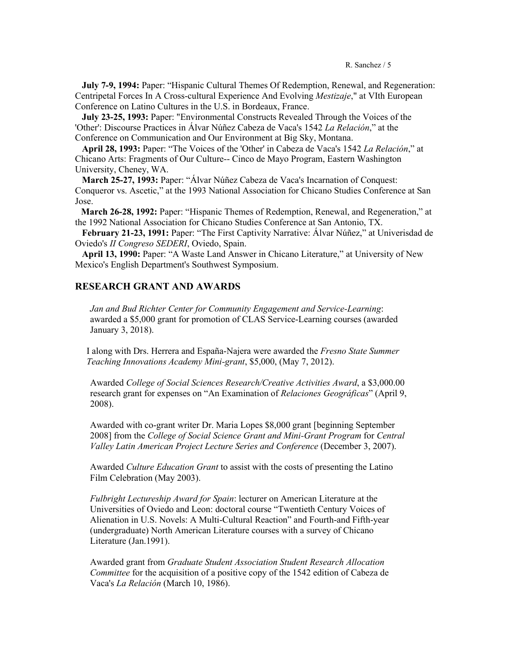**July 7-9, 1994:** Paper: "Hispanic Cultural Themes Of Redemption, Renewal, and Regeneration: Centripetal Forces In A Cross-cultural Experience And Evolving *Mestizaje*," at VIth European Conference on Latino Cultures in the U.S. in Bordeaux, France.

 **July 23-25, 1993:** Paper: "Environmental Constructs Revealed Through the Voices of the 'Other': Discourse Practices in Álvar Núñez Cabeza de Vaca's 1542 *La Relación*," at the Conference on Communication and Our Environment at Big Sky, Montana.

 **April 28, 1993:** Paper: "The Voices of the 'Other' in Cabeza de Vaca's 1542 *La Relación*," at Chicano Arts: Fragments of Our Culture-- Cinco de Mayo Program, Eastern Washington University, Cheney, WA.

 **March 25-27, 1993:** Paper: "Álvar Núñez Cabeza de Vaca's Incarnation of Conquest: Conqueror vs. Ascetic," at the 1993 National Association for Chicano Studies Conference at San Jose.

**March 26-28, 1992:** Paper: "Hispanic Themes of Redemption, Renewal, and Regeneration," at the 1992 National Association for Chicano Studies Conference at San Antonio, TX.

 **February 21-23, 1991:** Paper: "The First Captivity Narrative: Álvar Núñez," at Univerisdad de Oviedo's *II Congreso SEDERI*, Oviedo, Spain.

 **April 13, 1990:** Paper: "A Waste Land Answer in Chicano Literature," at University of New Mexico's English Department's Southwest Symposium.

## **RESEARCH GRANT AND AWARDS**

*Jan and Bud Richter Center for Community Engagement and Service-Learning*: awarded a \$5,000 grant for promotion of CLAS Service-Learning courses (awarded January 3, 2018).

 I along with Drs. Herrera and España-Najera were awarded the *Fresno State Summer Teaching Innovations Academy Mini-grant*, \$5,000, (May 7, 2012).

Awarded *College of Social Sciences Research/Creative Activities Award*, a \$3,000.00 research grant for expenses on "An Examination of *Relaciones Geográficas*" (April 9, 2008).

Awarded with co-grant writer Dr. Maria Lopes \$8,000 grant [beginning September 2008] from the *College of Social Science Grant and Mini-Grant Program* for *Central Valley Latin American Project Lecture Series and Conference* (December 3, 2007).

Awarded *Culture Education Grant* to assist with the costs of presenting the Latino Film Celebration (May 2003).

*Fulbright Lectureship Award for Spain*: lecturer on American Literature at the Universities of Oviedo and Leon: doctoral course "Twentieth Century Voices of Alienation in U.S. Novels: A Multi-Cultural Reaction" and Fourth-and Fifth-year (undergraduate) North American Literature courses with a survey of Chicano Literature (Jan.1991).

Awarded grant from *Graduate Student Association Student Research Allocation Committee* for the acquisition of a positive copy of the 1542 edition of Cabeza de Vaca's *La Relación* (March 10, 1986).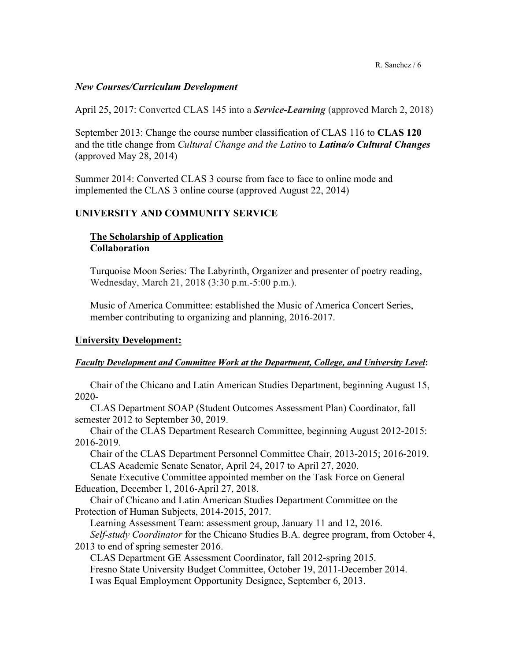R. Sanchez / 6

## *New Courses/Curriculum Development*

April 25, 2017: Converted CLAS 145 into a *Service-Learning* (approved March 2, 2018)

September 2013: Change the course number classification of CLAS 116 to **CLAS 120**  and the title change from *Cultural Change and the Latin*o to *Latina/o Cultural Changes* (approved May 28, 2014)

Summer 2014: Converted CLAS 3 course from face to face to online mode and implemented the CLAS 3 online course (approved August 22, 2014)

# **UNIVERSITY AND COMMUNITY SERVICE**

# **The Scholarship of Application Collaboration**

Turquoise Moon Series: The Labyrinth, Organizer and presenter of poetry reading, Wednesday, March 21, 2018 (3:30 p.m.-5:00 p.m.).

Music of America Committee: established the Music of America Concert Series, member contributing to organizing and planning, 2016-2017.

# **University Development:**

## *Faculty Development and Committee Work at the Department, College, and University Level***:**

Chair of the Chicano and Latin American Studies Department, beginning August 15, 2020-

CLAS Department SOAP (Student Outcomes Assessment Plan) Coordinator, fall semester 2012 to September 30, 2019.

 Chair of the CLAS Department Research Committee, beginning August 2012-2015: 2016-2019.

Chair of the CLAS Department Personnel Committee Chair, 2013-2015; 2016-2019. CLAS Academic Senate Senator, April 24, 2017 to April 27, 2020.

Senate Executive Committee appointed member on the Task Force on General Education, December 1, 2016-April 27, 2018.

Chair of Chicano and Latin American Studies Department Committee on the Protection of Human Subjects, 2014-2015, 2017.

Learning Assessment Team: assessment group, January 11 and 12, 2016. *Self-study Coordinator* for the Chicano Studies B.A. degree program, from October 4,

2013 to end of spring semester 2016.

CLAS Department GE Assessment Coordinator, fall 2012-spring 2015. Fresno State University Budget Committee, October 19, 2011-December 2014. I was Equal Employment Opportunity Designee, September 6, 2013.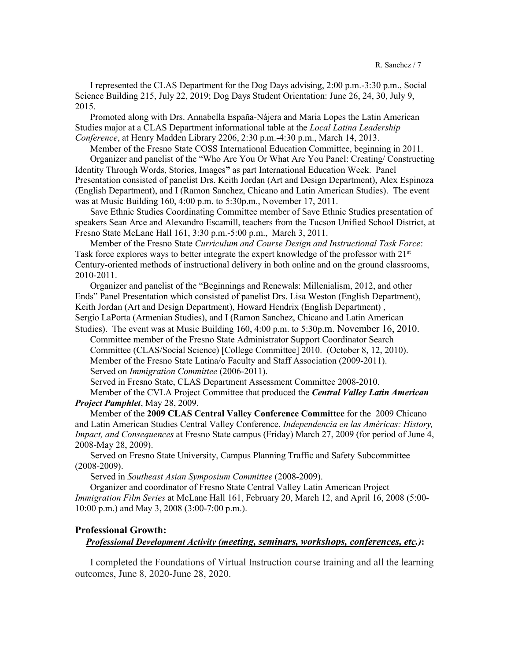I represented the CLAS Department for the Dog Days advising, 2:00 p.m.-3:30 p.m., Social Science Building 215, July 22, 2019; Dog Days Student Orientation: June 26, 24, 30, July 9, 2015.

Promoted along with Drs. Annabella España-Nájera and Maria Lopes the Latin American Studies major at a CLAS Department informational table at the *Local Latina Leadership Conference*, at Henry Madden Library 2206, 2:30 p.m.-4:30 p.m., March 14, 2013.

Member of the Fresno State COSS International Education Committee, beginning in 2011. Organizer and panelist of the "Who Are You Or What Are You Panel: Creating/ Constructing Identity Through Words, Stories, Images**"** as part International Education Week. Panel Presentation consisted of panelist Drs. Keith Jordan (Art and Design Department), Alex Espinoza (English Department), and I (Ramon Sanchez, Chicano and Latin American Studies). The event was at Music Building 160, 4:00 p.m. to 5:30p.m., November 17, 2011.

Save Ethnic Studies Coordinating Committee member of Save Ethnic Studies presentation of speakers Sean Arce and Alexandro Escamill, teachers from the Tucson Unified School District, at Fresno State McLane Hall 161, 3:30 p.m.-5:00 p.m., March 3, 2011.

Member of the Fresno State *Curriculum and Course Design and Instructional Task Force*: Task force explores ways to better integrate the expert knowledge of the professor with  $21<sup>st</sup>$ Century-oriented methods of instructional delivery in both online and on the ground classrooms, 2010-2011.

Organizer and panelist of the "Beginnings and Renewals: Millenialism, 2012, and other Ends" Panel Presentation which consisted of panelist Drs. Lisa Weston (English Department), Keith Jordan (Art and Design Department), Howard Hendrix (English Department) , Sergio LaPorta (Armenian Studies), and I (Ramon Sanchez, Chicano and Latin American Studies). The event was at Music Building 160, 4:00 p.m. to 5:30p.m. November 16, 2010.

Committee member of the Fresno State Administrator Support Coordinator Search Committee (CLAS/Social Science) [College Committee] 2010. (October 8, 12, 2010). Member of the Fresno State Latina/o Faculty and Staff Association (2009-2011). Served on *Immigration Committee* (2006-2011).

Served in Fresno State, CLAS Department Assessment Committee 2008-2010.

Member of the CVLA Project Committee that produced the *Central Valley Latin American Project Pamphlet*, May 28, 2009.

Member of the **2009 CLAS Central Valley Conference Committee** for the 2009 Chicano and Latin American Studies Central Valley Conference, *Independencia en las Américas: History, Impact, and Consequences* at Fresno State campus (Friday) March 27, 2009 (for period of June 4, 2008-May 28, 2009).

Served on Fresno State University, Campus Planning Traffic and Safety Subcommittee (2008-2009).

Served in *Southeast Asian Symposium Committee* (2008-2009).

Organizer and coordinator of Fresno State Central Valley Latin American Project *Immigration Film Series* at McLane Hall 161, February 20, March 12, and April 16, 2008 (5:00- 10:00 p.m.) and May 3, 2008 (3:00-7:00 p.m.).

## **Professional Growth:**

### *Professional Development Activity (meeting, seminars, workshops, conferences, etc.)***:**

I completed the Foundations of Virtual Instruction course training and all the learning outcomes, June 8, 2020-June 28, 2020.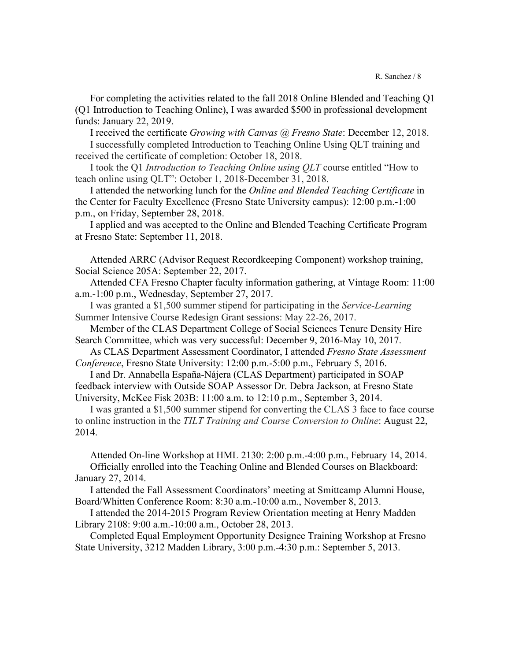R. Sanchez / 8

For completing the activities related to the fall 2018 Online Blended and Teaching Q1 (Q1 Introduction to Teaching Online), I was awarded \$500 in professional development funds: January 22, 2019.

I received the certificate *Growing with Canvas @ Fresno State*: December 12, 2018. I successfully completed Introduction to Teaching Online Using QLT training and received the certificate of completion: October 18, 2018.

I took the Q1 *Introduction to Teaching Online using QLT* course entitled "How to teach online using QLT": October 1, 2018-December 31, 2018.

I attended the networking lunch for the *Online and Blended Teaching Certificate* in the Center for Faculty Excellence (Fresno State University campus): 12:00 p.m.-1:00 p.m., on Friday, September 28, 2018.

I applied and was accepted to the Online and Blended Teaching Certificate Program at Fresno State: September 11, 2018.

Attended ARRC (Advisor Request Recordkeeping Component) workshop training, Social Science 205A: September 22, 2017.

Attended CFA Fresno Chapter faculty information gathering, at Vintage Room: 11:00 a.m.-1:00 p.m., Wednesday, September 27, 2017.

I was granted a \$1,500 summer stipend for participating in the *Service-Learning* Summer Intensive Course Redesign Grant sessions: May 22-26, 2017.

Member of the CLAS Department College of Social Sciences Tenure Density Hire Search Committee, which was very successful: December 9, 2016-May 10, 2017.

As CLAS Department Assessment Coordinator, I attended *Fresno State Assessment Conference*, Fresno State University: 12:00 p.m.-5:00 p.m., February 5, 2016.

I and Dr. Annabella España-Nájera (CLAS Department) participated in SOAP feedback interview with Outside SOAP Assessor Dr. Debra Jackson, at Fresno State University, McKee Fisk 203B: 11:00 a.m. to 12:10 p.m., September 3, 2014.

I was granted a \$1,500 summer stipend for converting the CLAS 3 face to face course to online instruction in the *TILT Training and Course Conversion to Online*: August 22, 2014.

Attended On-line Workshop at HML 2130: 2:00 p.m.-4:00 p.m., February 14, 2014. Officially enrolled into the Teaching Online and Blended Courses on Blackboard: January 27, 2014.

I attended the Fall Assessment Coordinators' meeting at Smittcamp Alumni House, Board/Whitten Conference Room: 8:30 a.m.-10:00 a.m., November 8, 2013.

I attended the 2014-2015 Program Review Orientation meeting at Henry Madden Library 2108: 9:00 a.m.-10:00 a.m., October 28, 2013.

Completed Equal Employment Opportunity Designee Training Workshop at Fresno State University, 3212 Madden Library, 3:00 p.m.-4:30 p.m.: September 5, 2013.